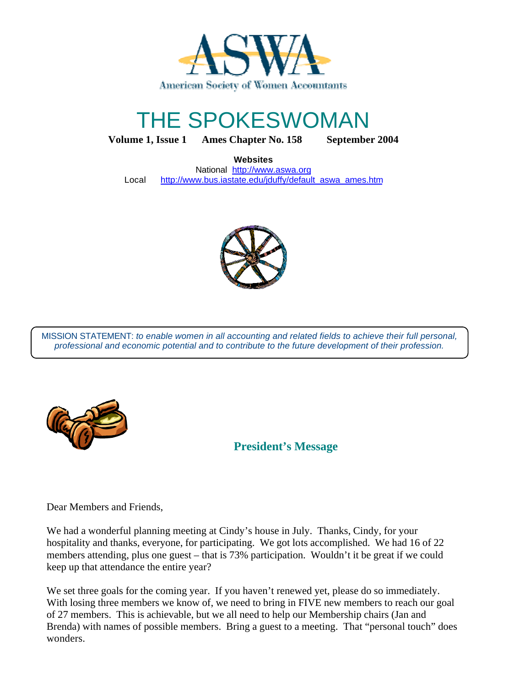

# THE SPOKESWOMAN

**Volume 1, Issue 1 Ames Chapter No. 158 September 2004**

**Websites**

National http://www.aswa.org Local http://www.bus.iastate.edu/jduffy/default\_aswa\_ames.htm



MISSION STATEMENT: *to enable women in all accounting and related fields to achieve their full personal, professional and economic potential and to contribute to the future development of their profession.*



**President's Message**

Dear Members and Friends,

We had a wonderful planning meeting at Cindy's house in July. Thanks, Cindy, for your hospitality and thanks, everyone, for participating. We got lots accomplished. We had 16 of 22 members attending, plus one guest – that is 73% participation. Wouldn't it be great if we could keep up that attendance the entire year?

We set three goals for the coming year. If you haven't renewed yet, please do so immediately. With losing three members we know of, we need to bring in FIVE new members to reach our goal of 27 members. This is achievable, but we all need to help our Membership chairs (Jan and Brenda) with names of possible members. Bring a guest to a meeting. That "personal touch" does wonders.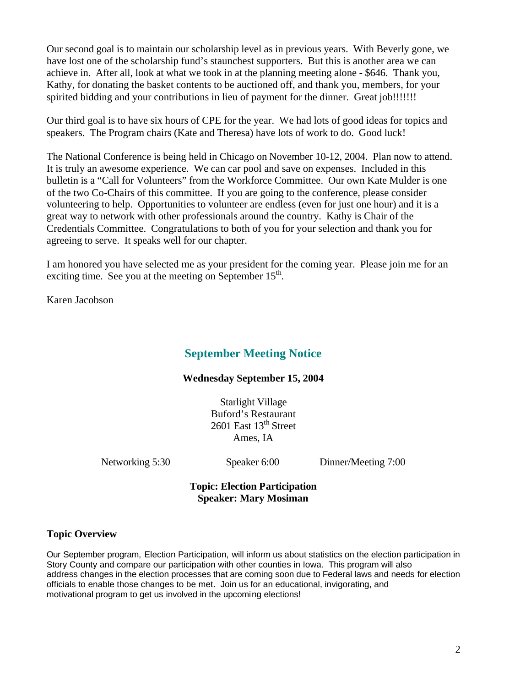Our second goal is to maintain our scholarship level as in previous years. With Beverly gone, we have lost one of the scholarship fund's staunchest supporters. But this is another area we can achieve in. After all, look at what we took in at the planning meeting alone - \$646. Thank you, Kathy, for donating the basket contents to be auctioned off, and thank you, members, for your spirited bidding and your contributions in lieu of payment for the dinner. Great job!!!!!!!

Our third goal is to have six hours of CPE for the year. We had lots of good ideas for topics and speakers. The Program chairs (Kate and Theresa) have lots of work to do. Good luck!

The National Conference is being held in Chicago on November 10-12, 2004. Plan now to attend. It is truly an awesome experience. We can car pool and save on expenses. Included in this bulletin is a "Call for Volunteers" from the Workforce Committee. Our own Kate Mulder is one of the two Co-Chairs of this committee. If you are going to the conference, please consider volunteering to help. Opportunities to volunteer are endless (even for just one hour) and it is a great way to network with other professionals around the country. Kathy is Chair of the Credentials Committee. Congratulations to both of you for your selection and thank you for agreeing to serve. It speaks well for our chapter.

I am honored you have selected me as your president for the coming year. Please join me for an exciting time. See you at the meeting on September 15<sup>th</sup>.

Karen Jacobson

## **September Meeting Notice**

#### **Wednesday September 15, 2004**

Starlight Village Buford's Restaurant 2601 East 13<sup>th</sup> Street Ames, IA

Networking 5:30 Speaker 6:00 Dinner/Meeting 7:00

#### **Topic: Election Participation Speaker: Mary Mosiman**

#### **Topic Overview**

Our September program, Election Participation, will inform us about statistics on the election participation in Story County and compare our participation with other counties in Iowa. This program will also address changes in the election processes that are coming soon due to Federal laws and needs for election officials to enable those changes to be met. Join us for an educational, invigorating, and motivational program to get us involved in the upcoming elections!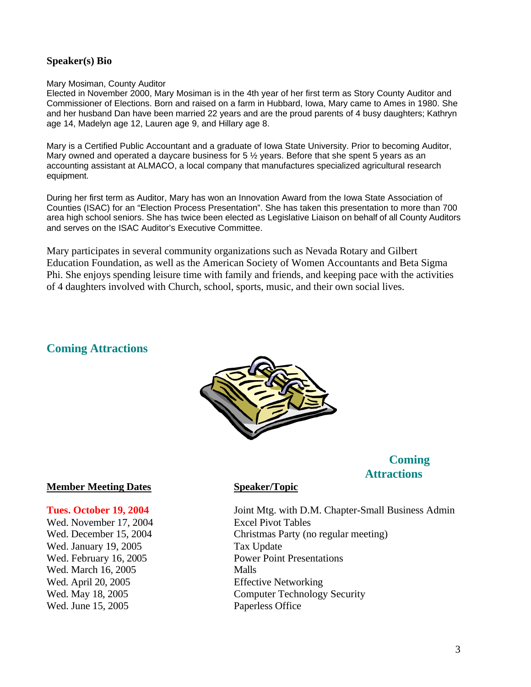### **Speaker(s) Bio**

#### Mary Mosiman, County Auditor

Elected in November 2000, Mary Mosiman is in the 4th year of her first term as Story County Auditor and Commissioner of Elections. Born and raised on a farm in Hubbard, Iowa, Mary came to Ames in 1980. She and her husband Dan have been married 22 years and are the proud parents of 4 busy daughters; Kathryn age 14, Madelyn age 12, Lauren age 9, and Hillary age 8.

Mary is a Certified Public Accountant and a graduate of Iowa State University. Prior to becoming Auditor, Mary owned and operated a daycare business for  $5\frac{1}{2}$  years. Before that she spent 5 years as an accounting assistant at ALMACO, a local company that manufactures specialized agricultural research equipment.

During her first term as Auditor, Mary has won an Innovation Award from the Iowa State Association of Counties (ISAC) for an "Election Process Presentation". She has taken this presentation to more than 700 area high school seniors. She has twice been elected as Legislative Liaison on behalf of all County Auditors and serves on the ISAC Auditor's Executive Committee.

Mary participates in several community organizations such as Nevada Rotary and Gilbert Education Foundation, as well as the American Society of Women Accountants and Beta Sigma Phi. She enjoys spending leisure time with family and friends, and keeping pace with the activities of 4 daughters involved with Church, school, sports, music, and their own social lives.

### **Coming Attractions**



# **Coming Attractions**

#### **Member Meeting Dates Speaker/Topic**

Wed. November 17, 2004 Excel Pivot Tables Wed. January 19, 2005 Tax Update Wed. March 16, 2005 Wed. April 20, 2005 Effective Networking Wed. June 15, 2005 Paperless Office

**Tues. October 19, 2004** Joint Mtg. with D.M. Chapter-Small Business Admin Wed. December 15, 2004 Christmas Party (no regular meeting) Wed. February 16, 2005 Power Point Presentations Wed. May 18, 2005 Computer Technology Security